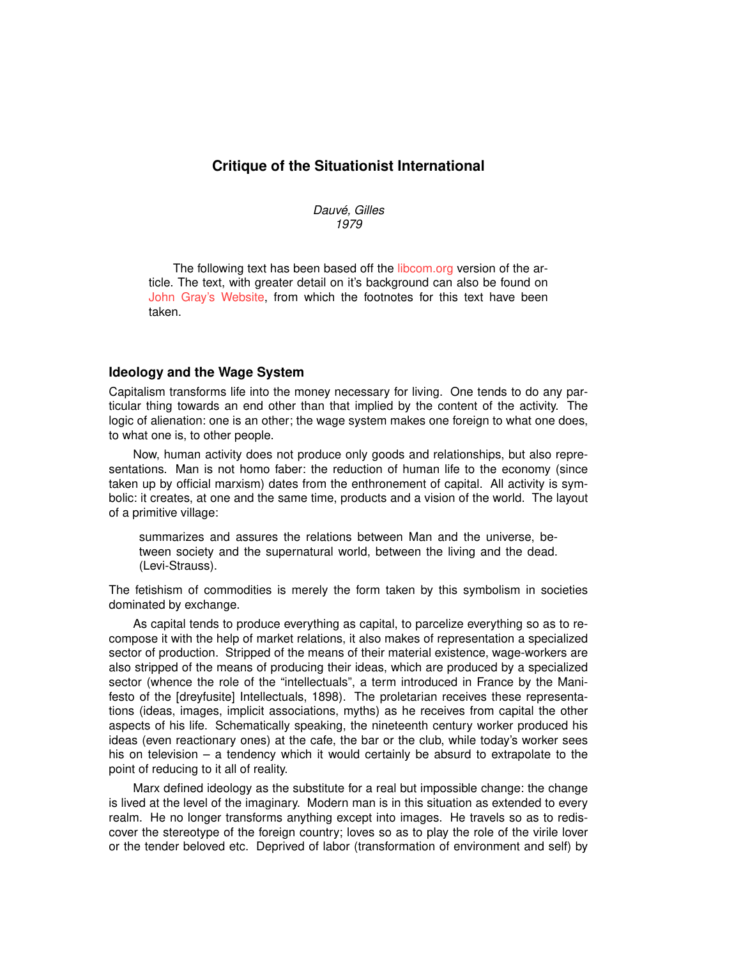# **Critique of the Situationist International**

Dauvé, Gilles 1979

The following text has been based off the [libcom.org](https://libcom.org/library/critique-situationist-international-gilles-dauve) version of the article. The text, with greater detail on it's background can also be found on [John Gray's Website,](https://web.archive.org/web/20090730020033/https://www.geocities.com/~johngray/barsit01.htm) from which the footnotes for this text have been taken.

## **Ideology and the Wage System**

Capitalism transforms life into the money necessary for living. One tends to do any particular thing towards an end other than that implied by the content of the activity. The logic of alienation: one is an other; the wage system makes one foreign to what one does, to what one is, to other people.

Now, human activity does not produce only goods and relationships, but also representations. Man is not homo faber: the reduction of human life to the economy (since taken up by official marxism) dates from the enthronement of capital. All activity is symbolic: it creates, at one and the same time, products and a vision of the world. The layout of a primitive village:

summarizes and assures the relations between Man and the universe, between society and the supernatural world, between the living and the dead. (Levi-Strauss).

The fetishism of commodities is merely the form taken by this symbolism in societies dominated by exchange.

As capital tends to produce everything as capital, to parcelize everything so as to recompose it with the help of market relations, it also makes of representation a specialized sector of production. Stripped of the means of their material existence, wage-workers are also stripped of the means of producing their ideas, which are produced by a specialized sector (whence the role of the "intellectuals", a term introduced in France by the Manifesto of the [dreyfusite] Intellectuals, 1898). The proletarian receives these representations (ideas, images, implicit associations, myths) as he receives from capital the other aspects of his life. Schematically speaking, the nineteenth century worker produced his ideas (even reactionary ones) at the cafe, the bar or the club, while today's worker sees his on television – a tendency which it would certainly be absurd to extrapolate to the point of reducing to it all of reality.

Marx defined ideology as the substitute for a real but impossible change: the change is lived at the level of the imaginary. Modern man is in this situation as extended to every realm. He no longer transforms anything except into images. He travels so as to rediscover the stereotype of the foreign country; loves so as to play the role of the virile lover or the tender beloved etc. Deprived of labor (transformation of environment and self) by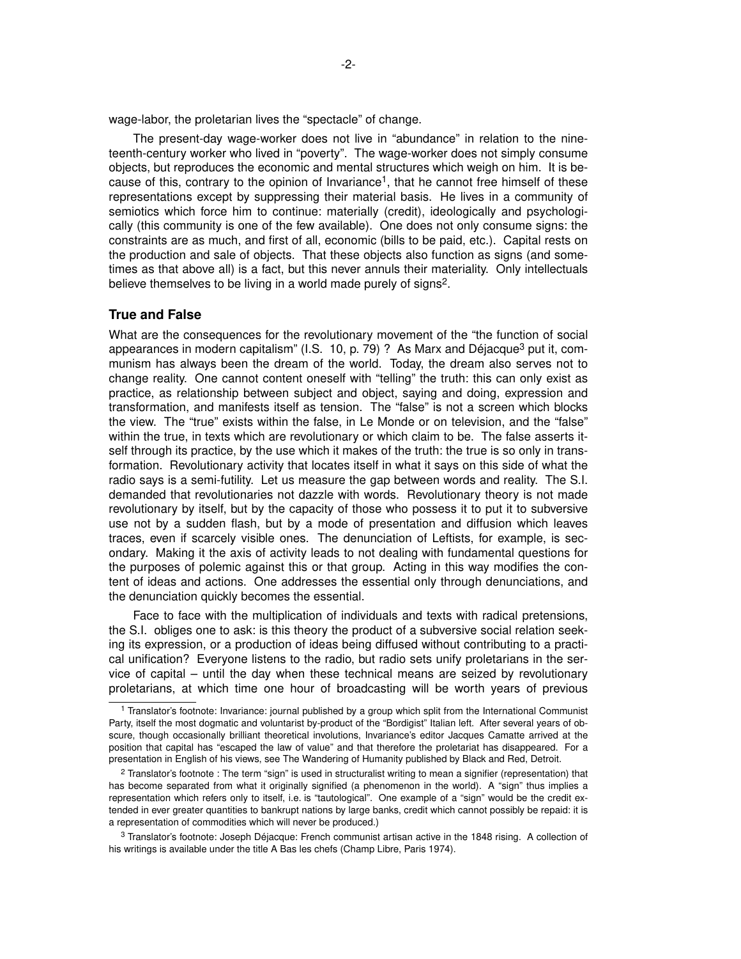wage-labor, the proletarian lives the "spectacle" of change.

The present-day wage-worker does not live in "abundance" in relation to the nineteenth-century worker who lived in "poverty". The wage-worker does not simply consume objects, but reproduces the economic and mental structures which weigh on him. It is because of this, contrary to the opinion of Invariance<sup>1</sup>, that he cannot free himself of these representations except by suppressing their material basis. He lives in a community of semiotics which force him to continue: materially (credit), ideologically and psychologically (this community is one of the few available). One does not only consume signs: the constraints are as much, and first of all, economic (bills to be paid, etc.). Capital rests on the production and sale of objects. That these objects also function as signs (and sometimes as that above all) is a fact, but this never annuls their materiality. Only intellectuals believe themselves to be living in a world made purely of signs<sup>2</sup>.

## **True and False**

What are the consequences for the revolutionary movement of the "the function of social appearances in modern capitalism" (I.S. 10, p. 79) ? As Marx and Déjacque<sup>3</sup> put it, communism has always been the dream of the world. Today, the dream also serves not to change reality. One cannot content oneself with "telling" the truth: this can only exist as practice, as relationship between subject and object, saying and doing, expression and transformation, and manifests itself as tension. The "false" is not a screen which blocks the view. The "true" exists within the false, in Le Monde or on television, and the "false" within the true, in texts which are revolutionary or which claim to be. The false asserts itself through its practice, by the use which it makes of the truth: the true is so only in transformation. Revolutionary activity that locates itself in what it says on this side of what the radio says is a semi-futility. Let us measure the gap between words and reality. The S.I. demanded that revolutionaries not dazzle with words. Revolutionary theory is not made revolutionary by itself, but by the capacity of those who possess it to put it to subversive use not by a sudden flash, but by a mode of presentation and diffusion which leaves traces, even if scarcely visible ones. The denunciation of Leftists, for example, is secondary. Making it the axis of activity leads to not dealing with fundamental questions for the purposes of polemic against this or that group. Acting in this way modifies the content of ideas and actions. One addresses the essential only through denunciations, and the denunciation quickly becomes the essential.

Face to face with the multiplication of individuals and texts with radical pretensions, the S.I. obliges one to ask: is this theory the product of a subversive social relation seeking its expression, or a production of ideas being diffused without contributing to a practical unification? Everyone listens to the radio, but radio sets unify proletarians in the service of capital – until the day when these technical means are seized by revolutionary proletarians, at which time one hour of broadcasting will be worth years of previous

<sup>&</sup>lt;sup>1</sup> Translator's footnote: Invariance: journal published by a group which split from the International Communist Party, itself the most dogmatic and voluntarist by-product of the "Bordigist" Italian left. After several years of obscure, though occasionally brilliant theoretical involutions, Invariance's editor Jacques Camatte arrived at the position that capital has "escaped the law of value" and that therefore the proletariat has disappeared. For a presentation in English of his views, see The Wandering of Humanity published by Black and Red, Detroit.

 $2$  Translator's footnote : The term "sign" is used in structuralist writing to mean a signifier (representation) that has become separated from what it originally signified (a phenomenon in the world). A "sign" thus implies a representation which refers only to itself, i.e. is "tautological". One example of a "sign" would be the credit extended in ever greater quantities to bankrupt nations by large banks, credit which cannot possibly be repaid: it is a representation of commodities which will never be produced.)

<sup>&</sup>lt;sup>3</sup> Translator's footnote: Joseph Déjacque: French communist artisan active in the 1848 rising. A collection of his writings is available under the title A Bas les chefs (Champ Libre, Paris 1974).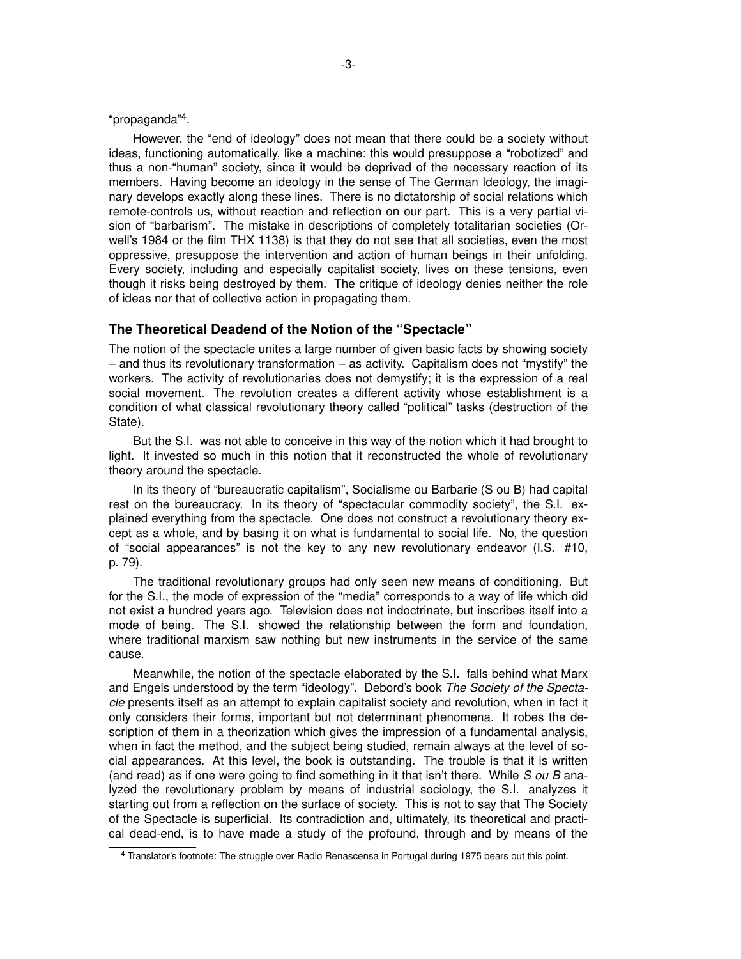"propaganda"4.

However, the "end of ideology" does not mean that there could be a society without ideas, functioning automatically, like a machine: this would presuppose a "robotized" and thus a non-"human" society, since it would be deprived of the necessary reaction of its members. Having become an ideology in the sense of The German Ideology, the imaginary develops exactly along these lines. There is no dictatorship of social relations which remote-controls us, without reaction and reflection on our part. This is a very partial vision of "barbarism". The mistake in descriptions of completely totalitarian societies (Orwell's 1984 or the film THX 1138) is that they do not see that all societies, even the most oppressive, presuppose the intervention and action of human beings in their unfolding. Every society, including and especially capitalist society, lives on these tensions, even though it risks being destroyed by them. The critique of ideology denies neither the role of ideas nor that of collective action in propagating them.

### **The Theoretical Deadend of the Notion of the "Spectacle"**

The notion of the spectacle unites a large number of given basic facts by showing society  $-$  and thus its revolutionary transformation  $-$  as activity. Capitalism does not "mystify" the workers. The activity of revolutionaries does not demystify; it is the expression of a real social movement. The revolution creates a different activity whose establishment is a condition of what classical revolutionary theory called "political" tasks (destruction of the State).

But the S.I. was not able to conceive in this way of the notion which it had brought to light. It invested so much in this notion that it reconstructed the whole of revolutionary theory around the spectacle.

In its theory of "bureaucratic capitalism", Socialisme ou Barbarie (S ou B) had capital rest on the bureaucracy. In its theory of "spectacular commodity society", the S.I. explained everything from the spectacle. One does not construct a revolutionary theory except as a whole, and by basing it on what is fundamental to social life. No, the question of "social appearances" is not the key to any new revolutionary endeavor  $(1.S. #10,$ p. 79).

The traditional revolutionary groups had only seen new means of conditioning. But for the S.I., the mode of expression of the "media" corresponds to a way of life which did not exist a hundred years ago. Television does not indoctrinate, but inscribes itself into a mode of being. The S.I. showed the relationship between the form and foundation, where traditional marxism saw nothing but new instruments in the service of the same cause.

Meanwhile, the notion of the spectacle elaborated by the S.I. falls behind what Marx and Engels understood by the term "ideology". Debord's book The Society of the Spectacle presents itself as an attempt to explain capitalist society and revolution, when in fact it only considers their forms, important but not determinant phenomena. It robes the description of them in a theorization which gives the impression of a fundamental analysis, when in fact the method, and the subject being studied, remain always at the level of social appearances. At this level, the book is outstanding. The trouble is that it is written (and read) as if one were going to find something in it that isn't there. While  $S$  ou  $B$  analyzed the revolutionary problem by means of industrial sociology, the S.I. analyzes it starting out from a reflection on the surface of society. This is not to say that The Society of the Spectacle is superficial. Its contradiction and, ultimately, its theoretical and practical dead-end, is to have made a study of the profound, through and by means of the

<sup>&</sup>lt;sup>4</sup> Translator's footnote: The struggle over Radio Renascensa in Portugal during 1975 bears out this point.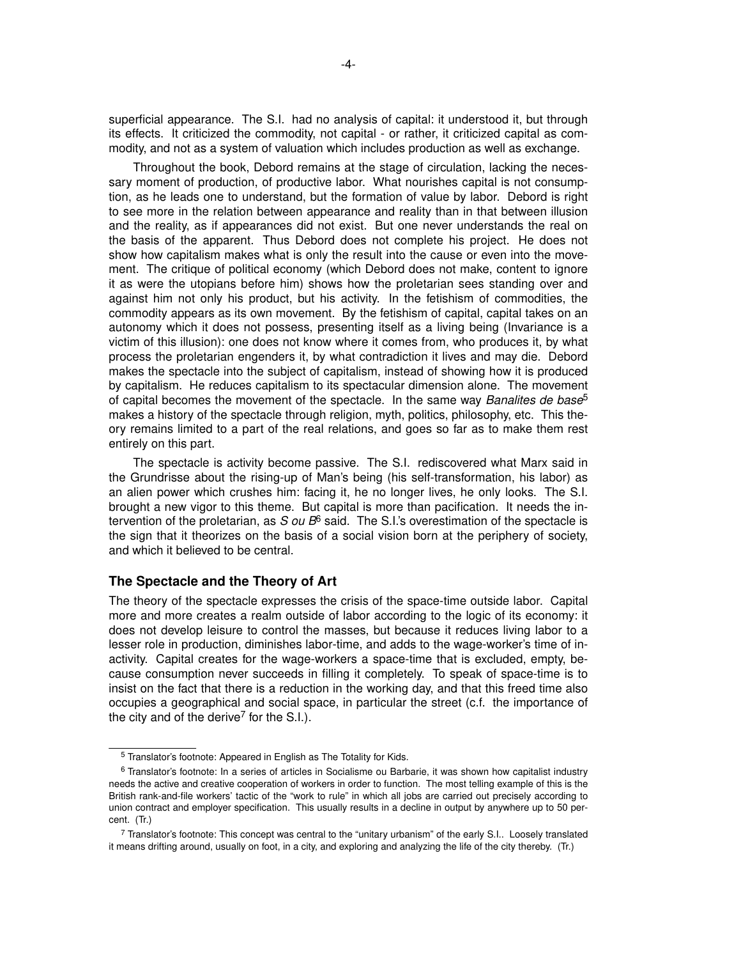superficial appearance. The S.I. had no analysis of capital: it understood it, but through its effects. It criticized the commodity, not capital - or rather, it criticized capital as commodity, and not as a system of valuation which includes production as well as exchange.

Throughout the book, Debord remains at the stage of circulation, lacking the necessary moment of production, of productive labor. What nourishes capital is not consumption, as he leads one to understand, but the formation of value by labor. Debord is right to see more in the relation between appearance and reality than in that between illusion and the reality, as if appearances did not exist. But one never understands the real on the basis of the apparent. Thus Debord does not complete his project. He does not show how capitalism makes what is only the result into the cause or even into the movement. The critique of political economy (which Debord does not make, content to ignore it as were the utopians before him) shows how the proletarian sees standing over and against him not only his product, but his activity. In the fetishism of commodities, the commodity appears as its own movement. By the fetishism of capital, capital takes on an autonomy which it does not possess, presenting itself as a living being (Invariance is a victim of this illusion): one does not know where it comes from, who produces it, by what process the proletarian engenders it, by what contradiction it lives and may die. Debord makes the spectacle into the subject of capitalism, instead of showing how it is produced by capitalism. He reduces capitalism to its spectacular dimension alone. The movement of capital becomes the movement of the spectacle. In the same way Banalites de base<sup>5</sup> makes a history of the spectacle through religion, myth, politics, philosophy, etc. This theory remains limited to a part of the real relations, and goes so far as to make them rest entirely on this part.

The spectacle is activity become passive. The S.I. rediscovered what Marx said in the Grundrisse about the rising-up of Man's being (his self-transformation, his labor) as an alien power which crushes him: facing it, he no longer lives, he only looks. The S.I. brought a new vigor to this theme. But capital is more than pacification. It needs the intervention of the proletarian, as S ou  $B^6$  said. The S.I.'s overestimation of the spectacle is the sign that it theorizes on the basis of a social vision born at the periphery of society, and which it believed to be central.

### **The Spectacle and the Theory of Art**

The theory of the spectacle expresses the crisis of the space-time outside labor. Capital more and more creates a realm outside of labor according to the logic of its economy: it does not develop leisure to control the masses, but because it reduces living labor to a lesser role in production, diminishes labor-time, and adds to the wage-worker's time of inactivity. Capital creates for the wage-workers a space-time that is excluded, empty, because consumption never succeeds in filling it completely. To speak of space-time is to insist on the fact that there is a reduction in the working day, and that this freed time also occupies a geographical and social space, in particular the street (c.f. the importance of the city and of the derive<sup>7</sup> for the S.I.).

 $5$  Translator's footnote: Appeared in English as The Totality for Kids.

 $6$  Translator's footnote: In a series of articles in Socialisme ou Barbarie, it was shown how capitalist industry needs the active and creative cooperation of workers in order to function. The most telling example of this is the British rank-and-file workers' tactic of the "work to rule" in which all jobs are carried out precisely according to union contract and employer specification. This usually results in a decline in output by anywhere up to 50 percent. (Tr.)

<sup>7</sup> Translator's footnote: This concept was central to the "unitary urbanism" of the early S.I.. Loosely translated it means drifting around, usually on foot, in a city, and exploring and analyzing the life of the city thereby. (Tr.)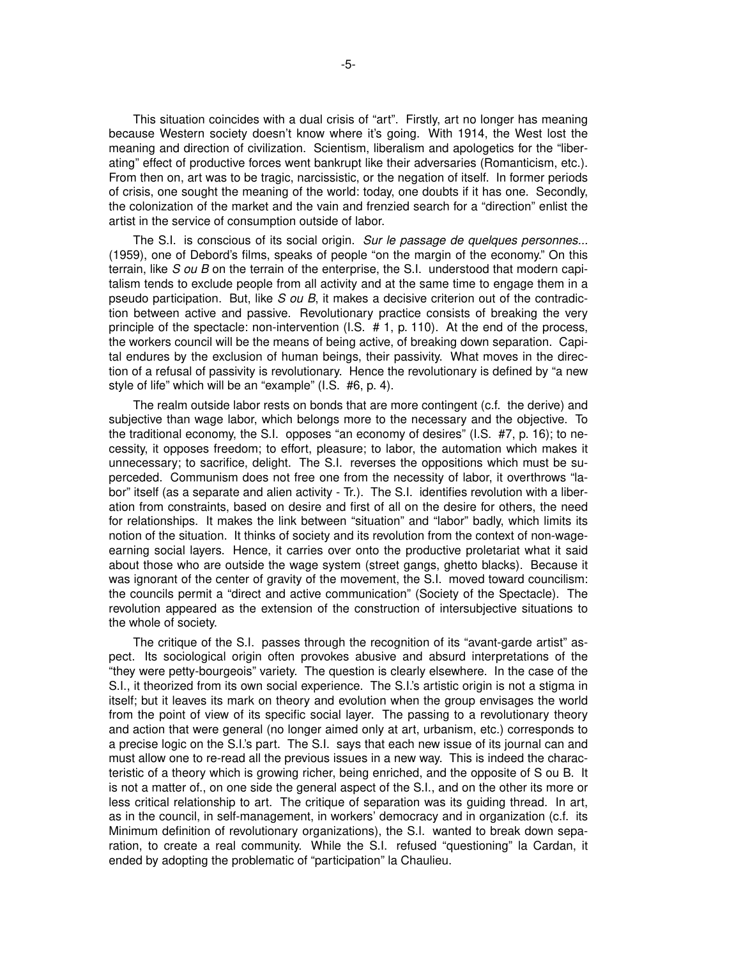This situation coincides with a dual crisis of "art". Firstly, art no longer has meaning because Western society doesn't know where it's going. With 1914, the West lost the meaning and direction of civilization. Scientism, liberalism and apologetics for the "liberating" effect of productive forces went bankrupt like their adversaries (Romanticism, etc.). From then on, art was to be tragic, narcissistic, or the negation of itself. In former periods of crisis, one sought the meaning of the world: today, one doubts if it has one. Secondly, the colonization of the market and the vain and frenzied search for a "direction" enlist the artist in the service of consumption outside of labor.

The S.I. is conscious of its social origin. Sur le passage de quelques personnes... (1959), one of Debord's films, speaks of people "on the margin of the economy." On this terrain, like  $S$  ou  $B$  on the terrain of the enterprise, the S.I. understood that modern capitalism tends to exclude people from all activity and at the same time to engage them in a pseudo participation. But, like  $S$  ou  $B$ , it makes a decisive criterion out of the contradiction between active and passive. Revolutionary practice consists of breaking the very principle of the spectacle: non-intervention  $(1.S. # 1, p. 110)$ . At the end of the process, the workers council will be the means of being active, of breaking down separation. Capital endures by the exclusion of human beings, their passivity. What moves in the direction of a refusal of passivity is revolutionary. Hence the revolutionary is defined by "a new style of life" which will be an "example" (I.S. #6, p. 4).

The realm outside labor rests on bonds that are more contingent (c.f. the derive) and subjective than wage labor, which belongs more to the necessary and the objective. To the traditional economy, the S.I. opposes "an economy of desires" (I.S. #7, p. 16); to necessity, it opposes freedom; to effort, pleasure; to labor, the automation which makes it unnecessary; to sacrifice, delight. The S.I. reverses the oppositions which must be superceded. Communism does not free one from the necessity of labor, it overthrows "labor" itself (as a separate and alien activity - Tr.). The S.I. identifies revolution with a liberation from constraints, based on desire and first of all on the desire for others, the need for relationships. It makes the link between "situation" and "labor" badly, which limits its notion of the situation. It thinks of society and its revolution from the context of non-wageearning social layers. Hence, it carries over onto the productive proletariat what it said about those who are outside the wage system (street gangs, ghetto blacks). Because it was ignorant of the center of gravity of the movement, the S.I. moved toward councilism: the councils permit a "direct and active communication" (Society of the Spectacle). The revolution appeared as the extension of the construction of intersubjective situations to the whole of society.

The critique of the S.I. passes through the recognition of its "avant-garde artist" aspect. Its sociological origin often provokes abusive and absurd interpretations of the "they were petty-bourgeois" variety. The question is clearly elsewhere. In the case of the S.I., it theorized from its own social experience. The S.I.'s artistic origin is not a stigma in itself; but it leaves its mark on theory and evolution when the group envisages the world from the point of view of its specific social layer. The passing to a revolutionary theory and action that were general (no longer aimed only at art, urbanism, etc.) corresponds to a precise logic on the S.I.'s part. The S.I. says that each new issue of its journal can and must allow one to re-read all the previous issues in a new way. This is indeed the characteristic of a theory which is growing richer, being enriched, and the opposite of S ou B. It is not a matter of., on one side the general aspect of the S.I., and on the other its more or less critical relationship to art. The critique of separation was its quiding thread. In art, as in the council, in self-management, in workers' democracy and in organization (c.f. its Minimum definition of revolutionary organizations), the S.I. wanted to break down separation, to create a real community. While the S.I. refused "questioning" la Cardan, it ended by adopting the problematic of "participation" la Chaulieu.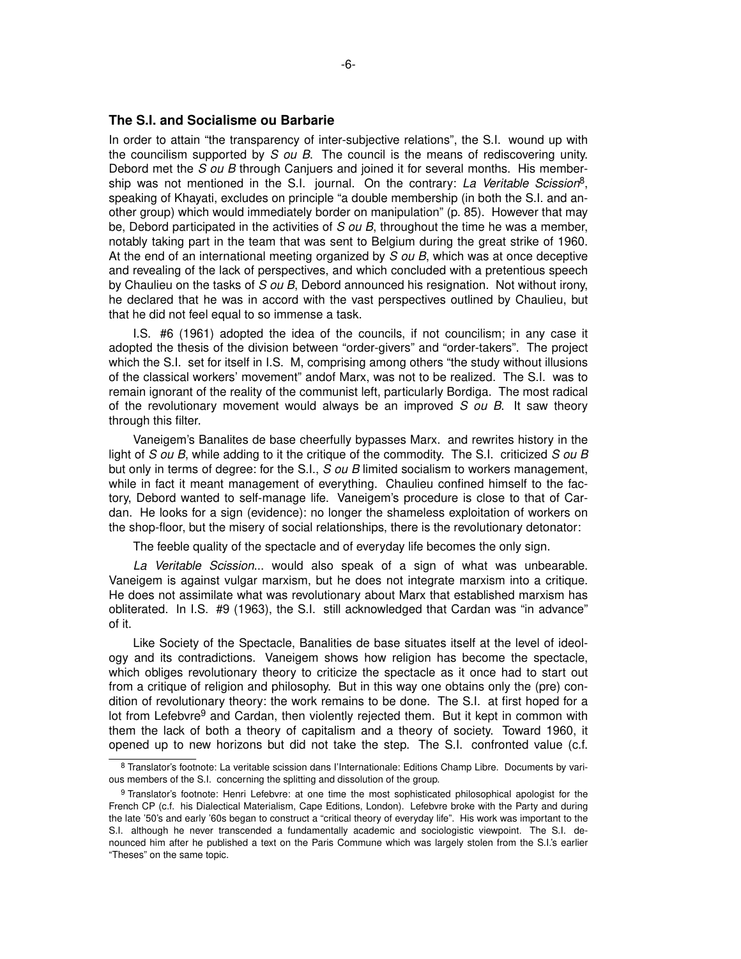## **The S.I. and Socialisme ou Barbarie**

In order to attain "the transparency of inter-subjective relations", the S.I. wound up with the councilism supported by  $S$  ou  $B$ . The council is the means of rediscovering unity. Debord met the S ou B through Canjuers and joined it for several months. His membership was not mentioned in the S.I. journal. On the contrary: La Veritable Scission<sup>8</sup>, speaking of Khayati, excludes on principle "a double membership (in both the S.I. and another group) which would immediately border on manipulation" (p. 85). However that may be, Debord participated in the activities of  $S$  ou  $B$ , throughout the time he was a member, notably taking part in the team that was sent to Belgium during the great strike of 1960. At the end of an international meeting organized by  $S$  ou  $B$ , which was at once deceptive and revealing of the lack of perspectives, and which concluded with a pretentious speech by Chaulieu on the tasks of S ou B, Debord announced his resignation. Not without irony, he declared that he was in accord with the vast perspectives outlined by Chaulieu, but that he did not feel equal to so immense a task.

I.S. #6 (1961) adopted the idea of the councils, if not councilism; in any case it adopted the thesis of the division between "order-givers" and "order-takers". The project which the S.I. set for itself in I.S. M, comprising among others "the study without illusions of the classical workers' movement" andof Marx, was not to be realized. The S.I. was to remain ignorant of the reality of the communist left, particularly Bordiga. The most radical of the revolutionary movement would always be an improved  $S$  ou  $B$ . It saw theory through this filter.

Vaneigem's Banalites de base cheerfully bypasses Marx. and rewrites history in the light of  $S$  ou B, while adding to it the critique of the commodity. The S.I. criticized  $S$  ou B but only in terms of degree: for the S.I., S ou B limited socialism to workers management, while in fact it meant management of everything. Chaulieu confined himself to the factory, Debord wanted to self-manage life. Vaneigem's procedure is close to that of Cardan. He looks for a sign (evidence): no longer the shameless exploitation of workers on the shop-floor, but the misery of social relationships, there is the revolutionary detonator:

The feeble quality of the spectacle and of everyday life becomes the only sign.

La Veritable Scission... would also speak of a sign of what was unbearable. Vaneigem is against vulgar marxism, but he does not integrate marxism into a critique. He does not assimilate what was revolutionary about Marx that established marxism has obliterated. In I.S. #9 (1963), the S.I. still acknowledged that Cardan was "in advance" of it.

Like Society of the Spectacle, Banalities de base situates itself at the level of ideology and its contradictions. Vaneigem shows how religion has become the spectacle, which obliges revolutionary theory to criticize the spectacle as it once had to start out from a critique of religion and philosophy. But in this way one obtains only the (pre) condition of revolutionary theory: the work remains to be done. The S.I. at first hoped for a lot from Lefebvre<sup>9</sup> and Cardan, then violently rejected them. But it kept in common with them the lack of both a theory of capitalism and a theory of society. Toward 1960, it opened up to new horizons but did not take the step. The S.I. confronted value (c.f.

<sup>8</sup> Translator's footnote: La veritable scission dans l'Internationale: Editions Champ Libre. Documents by various members of the S.I. concerning the splitting and dissolution of the group.

<sup>9</sup> Translator's footnote: Henri Lefebvre: at one time the most sophisticated philosophical apologist for the French CP (c.f. his Dialectical Materialism, Cape Editions, London). Lefebvre broke with the Party and during the late '50's and early '60s began to construct a "critical theory of everyday life". His work was important to the S.I. although he never transcended a fundamentally academic and sociologistic viewpoint. The S.I. denounced him after he published a text on the Paris Commune which was largely stolen from the S.I.'s earlier "Theses" on the same topic.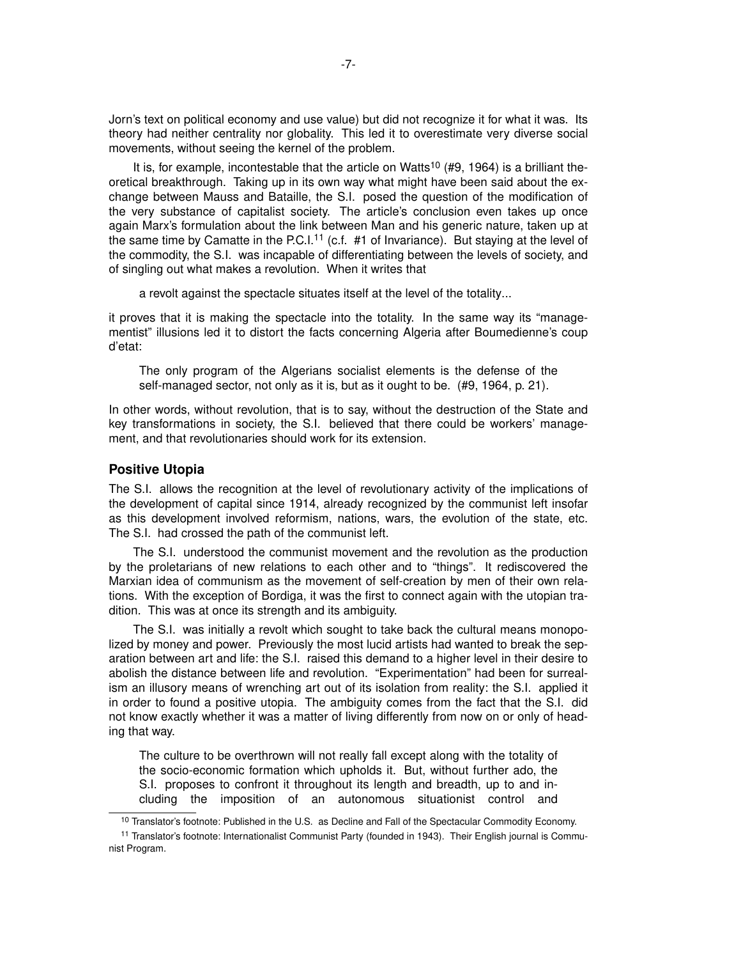Jorn's text on political economy and use value) but did not recognize it for what it was. Its theory had neither centrality nor globality. This led it to overestimate very diverse social movements, without seeing the kernel of the problem.

It is, for example, incontestable that the article on Watts<sup>10</sup> (#9, 1964) is a brilliant theoretical breakthrough. Taking up in its own way what might have been said about the exchange between Mauss and Bataille, the S.I. posed the question of the modification of the very substance of capitalist society. The article's conclusion even takes up once again Marx's formulation about the link between Man and his generic nature, taken up at the same time by Camatte in the P.C.I.<sup>11</sup> (c.f.  $#1$  of Invariance). But staying at the level of the commodity, the S.I. was incapable of differentiating between the levels of society, and of singling out what makes a revolution. When it writes that

a revolt against the spectacle situates itself at the level of the totality...

it proves that it is making the spectacle into the totality. In the same way its "managementist" illusions led it to distort the facts concerning Algeria after Boumedienne's coup d'etat:

The only program of the Algerians socialist elements is the defense of the self-managed sector, not only as it is, but as it ought to be. (#9, 1964, p. 21).

In other words, without revolution, that is to say, without the destruction of the State and key transformations in society, the S.I. believed that there could be workers' management, and that revolutionaries should work for its extension.

#### **Positive Utopia**

The S.I. allows the recognition at the level of revolutionary activity of the implications of the development of capital since 1914, already recognized by the communist left insofar as this development involved reformism, nations, wars, the evolution of the state, etc. The S.I. had crossed the path of the communist left.

The S.I. understood the communist movement and the revolution as the production by the proletarians of new relations to each other and to "things". It rediscovered the Marxian idea of communism as the movement of self-creation by men of their own relations. With the exception of Bordiga, it was the first to connect again with the utopian tradition. This was at once its strength and its ambiguity.

The S.I. was initially a revolt which sought to take back the cultural means monopolized by money and power. Previously the most lucid artists had wanted to break the separation between art and life: the S.I. raised this demand to a higher level in their desire to abolish the distance between life and revolution. "Experimentation" had been for surrealism an illusory means of wrenching art out of its isolation from reality: the S.I. applied it in order to found a positive utopia. The ambiguity comes from the fact that the S.I. did not know exactly whether it was a matter of living differently from now on or only of heading that way.

The culture to be overthrown will not really fall except along with the totality of the socio-economic formation which upholds it. But, without further ado, the S.I. proposes to confront it throughout its length and breadth, up to and including the imposition of an autonomous situationist control and

<sup>&</sup>lt;sup>10</sup> Translator's footnote: Published in the U.S. as Decline and Fall of the Spectacular Commodity Economy.

<sup>&</sup>lt;sup>11</sup> Translator's footnote: Internationalist Communist Party (founded in 1943). Their English journal is Communist Program.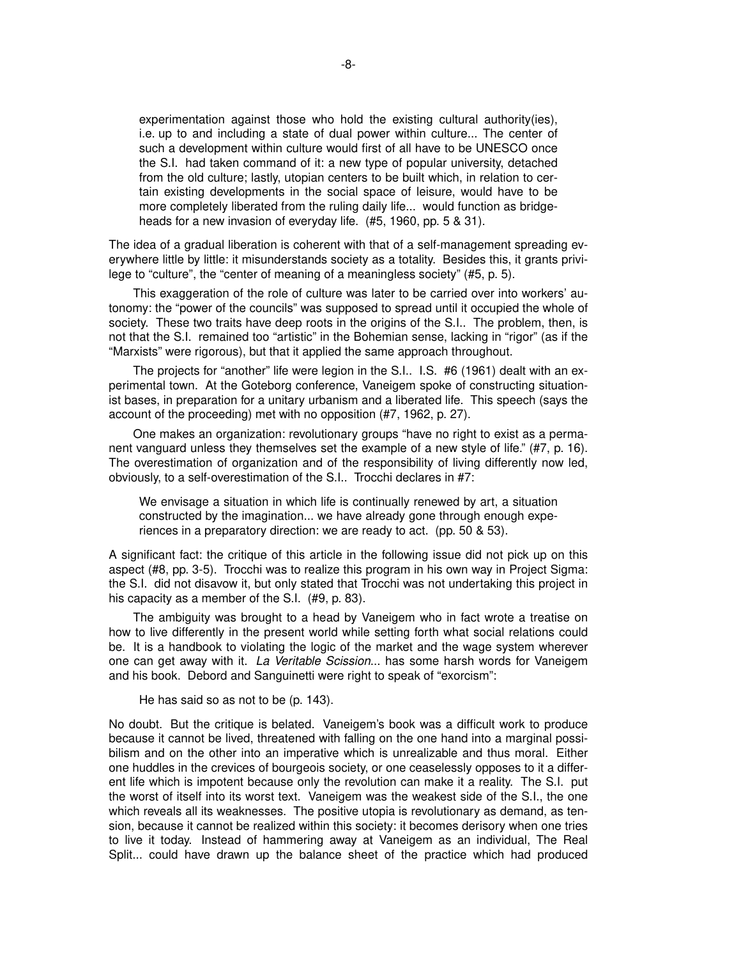experimentation against those who hold the existing cultural authority(ies), i.e. up to and including a state of dual power within culture... The center of such a development within culture would first of all have to be UNESCO once the S.I. had taken command of it: a new type of popular university, detached from the old culture; lastly, utopian centers to be built which, in relation to certain existing developments in the social space of leisure, would have to be more completely liberated from the ruling daily life... would function as bridgeheads for a new invasion of everyday life. (#5, 1960, pp. 5 & 31).

The idea of a gradual liberation is coherent with that of a self-management spreading everywhere little by little: it misunderstands society as a totality. Besides this, it grants privilege to "culture", the "center of meaning of a meaningless society" (#5, p. 5).

This exaggeration of the role of culture was later to be carried over into workers' autonomy: the "power of the councils" was supposed to spread until it occupied the whole of society. These two traits have deep roots in the origins of the S.I.. The problem, then, is not that the S.I. remained too "artistic" in the Bohemian sense, lacking in "rigor" (as if the "Marxists" were rigorous), but that it applied the same approach throughout.

The projects for "another" life were legion in the S.I.. I.S. #6 (1961) dealt with an experimental town. At the Goteborg conference, Vaneigem spoke of constructing situationist bases, in preparation for a unitary urbanism and a liberated life. This speech (says the account of the proceeding) met with no opposition (#7, 1962, p. 27).

One makes an organization: revolutionary groups "have no right to exist as a permanent vanguard unless they themselves set the example of a new style of life." (#7, p. 16). The overestimation of organization and of the responsibility of living differently now led, obviously, to a self-overestimation of the S.I.. Trocchi declares in #7:

We envisage a situation in which life is continually renewed by art, a situation constructed by the imagination... we have already gone through enough experiences in a preparatory direction: we are ready to act. (pp. 50 & 53).

A significant fact: the critique of this article in the following issue did not pick up on this aspect (#8, pp. 3-5). Trocchi was to realize this program in his own way in Project Sigma: the S.I. did not disavow it, but only stated that Trocchi was not undertaking this project in his capacity as a member of the S.I. (#9, p. 83).

The ambiguity was brought to a head by Vaneigem who in fact wrote a treatise on how to live differently in the present world while setting forth what social relations could be. It is a handbook to violating the logic of the market and the wage system wherever one can get away with it. La Veritable Scission... has some harsh words for Vaneigem and his book. Debord and Sanguinetti were right to speak of "exorcism":

He has said so as not to be (p. 143).

No doubt. But the critique is belated. Vaneigem's book was a difficult work to produce because it cannot be lived, threatened with falling on the one hand into a marginal possibilism and on the other into an imperative which is unrealizable and thus moral. Either one huddles in the crevices of bourgeois society, or one ceaselessly opposes to it a different life which is impotent because only the revolution can make it a reality. The S.I. put the worst of itself into its worst text. Vaneigem was the weakest side of the S.I., the one which reveals all its weaknesses. The positive utopia is revolutionary as demand, as tension, because it cannot be realized within this society: it becomes derisory when one tries to live it today. Instead of hammering away at Vaneigem as an individual, The Real Split... could have drawn up the balance sheet of the practice which had produced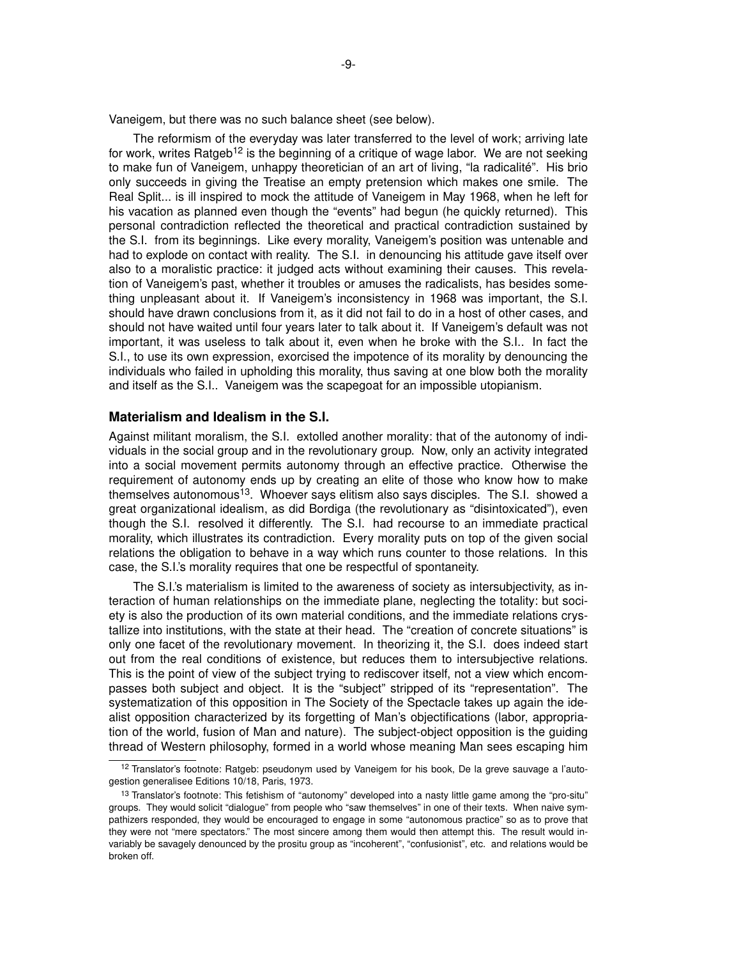Vaneigem, but there was no such balance sheet (see below).

The reformism of the everyday was later transferred to the level of work; arriving late for work, writes Ratgeb<sup>12</sup> is the beginning of a critique of wage labor. We are not seeking to make fun of Vaneigem, unhappy theoretician of an art of living, "la radicalité". His brio only succeeds in giving the Treatise an empty pretension which makes one smile. The Real Split... is ill inspired to mock the attitude of Vaneigem in May 1968, when he left for his vacation as planned even though the "events" had begun (he quickly returned). This personal contradiction reflected the theoretical and practical contradiction sustained by the S.I. from its beginnings. Like every morality, Vaneigem's position was untenable and had to explode on contact with reality. The S.I. in denouncing his attitude gave itself over also to a moralistic practice: it judged acts without examining their causes. This revelation of Vaneigem's past, whether it troubles or amuses the radicalists, has besides something unpleasant about it. If Vaneigem's inconsistency in 1968 was important, the S.I. should have drawn conclusions from it, as it did not fail to do in a host of other cases, and should not have waited until four years later to talk about it. If Vaneigem's default was not important, it was useless to talk about it, even when he broke with the S.I.. In fact the S.I., to use its own expression, exorcised the impotence of its morality by denouncing the individuals who failed in upholding this morality, thus saving at one blow both the morality and itself as the S.I.. Vaneigem was the scapegoat for an impossible utopianism.

#### **Materialism and Idealism in the S.I.**

Against militant moralism, the S.I. extolled another morality: that of the autonomy of individuals in the social group and in the revolutionary group. Now, only an activity integrated into a social movement permits autonomy through an effective practice. Otherwise the requirement of autonomy ends up by creating an elite of those who know how to make themselves autonomous<sup>13</sup>. Whoever says elitism also says disciples. The S.I. showed a great organizational idealism, as did Bordiga (the revolutionary as "disintoxicated"), even though the S.I. resolved it differently. The S.I. had recourse to an immediate practical morality, which illustrates its contradiction. Every morality puts on top of the given social relations the obligation to behave in a way which runs counter to those relations. In this case, the S.I.'s morality requires that one be respectful of spontaneity.

The S.I.'s materialism is limited to the awareness of society as intersubjectivity, as interaction of human relationships on the immediate plane, neglecting the totality: but society is also the production of its own material conditions, and the immediate relations crystallize into institutions, with the state at their head. The "creation of concrete situations" is only one facet of the revolutionary movement. In theorizing it, the S.I. does indeed start out from the real conditions of existence, but reduces them to intersubjective relations. This is the point of view of the subject trying to rediscover itself, not a view which encompasses both subject and object. It is the "subject" stripped of its "representation". The systematization of this opposition in The Society of the Spectacle takes up again the idealist opposition characterized by its forgetting of Man's objectifications (labor, appropriation of the world, fusion of Man and nature). The subject-object opposition is the guiding thread of Western philosophy, formed in a world whose meaning Man sees escaping him

<sup>&</sup>lt;sup>12</sup> Translator's footnote: Ratgeb: pseudonym used by Vaneigem for his book, De la greve sauvage a l'autogestion generalisee Editions 10/18, Paris, 1973.

 $13$  Translator's footnote: This fetishism of "autonomy" developed into a nasty little game among the "pro-situ" groups. They would solicit "dialogue" from people who "saw themselves" in one of their texts. When naive sympathizers responded, they would be encouraged to engage in some "autonomous practice" so as to prove that they were not "mere spectators." The most sincere among them would then attempt this. The result would invariably be savagely denounced by the prositu group as "incoherent", "confusionist", etc. and relations would be broken off.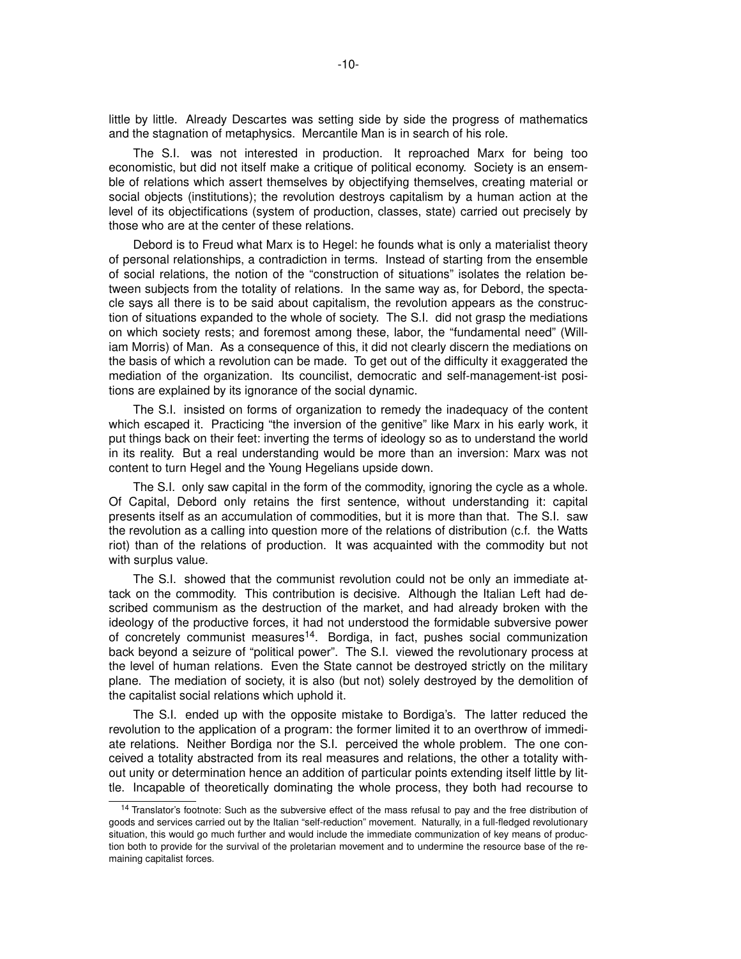little by little. Already Descartes was setting side by side the progress of mathematics and the stagnation of metaphysics. Mercantile Man is in search of his role.

The S.I. was not interested in production. It reproached Marx for being too economistic, but did not itself make a critique of political economy. Society is an ensemble of relations which assert themselves by objectifying themselves, creating material or social objects (institutions); the revolution destroys capitalism by a human action at the level of its objectifications (system of production, classes, state) carried out precisely by those who are at the center of these relations.

Debord is to Freud what Marx is to Hegel: he founds what is only a materialist theory of personal relationships, a contradiction in terms. Instead of starting from the ensemble of social relations, the notion of the "construction of situations" isolates the relation between subjects from the totality of relations. In the same way as, for Debord, the spectacle says all there is to be said about capitalism, the revolution appears as the construction of situations expanded to the whole of society. The S.I. did not grasp the mediations on which society rests; and foremost among these, labor, the "fundamental need" (William Morris) of Man. As a consequence of this, it did not clearly discern the mediations on the basis of which a revolution can be made. To get out of the difficulty it exaggerated the mediation of the organization. Its councilist, democratic and self-management-ist positions are explained by its ignorance of the social dynamic.

The S.I. insisted on forms of organization to remedy the inadequacy of the content which escaped it. Practicing "the inversion of the genitive" like Marx in his early work, it put things back on their feet: inverting the terms of ideology so as to understand the world in its reality. But a real understanding would be more than an inversion: Marx was not content to turn Hegel and the Young Hegelians upside down.

The S.I. only saw capital in the form of the commodity, ignoring the cycle as a whole. Of Capital, Debord only retains the first sentence, without understanding it: capital presents itself as an accumulation of commodities, but it is more than that. The S.I. saw the revolution as a calling into question more of the relations of distribution (c.f. the Watts riot) than of the relations of production. It was acquainted with the commodity but not with surplus value.

The S.I. showed that the communist revolution could not be only an immediate attack on the commodity. This contribution is decisive. Although the Italian Left had described communism as the destruction of the market, and had already broken with the ideology of the productive forces, it had not understood the formidable subversive power of concretely communist measures<sup>14</sup>. Bordiga, in fact, pushes social communization back beyond a seizure of "political power". The S.I. viewed the revolutionary process at the level of human relations. Even the State cannot be destroyed strictly on the military plane. The mediation of society, it is also (but not) solely destroyed by the demolition of the capitalist social relations which uphold it.

The S.I. ended up with the opposite mistake to Bordiga's. The latter reduced the revolution to the application of a program: the former limited it to an overthrow of immediate relations. Neither Bordiga nor the S.I. perceived the whole problem. The one conceived a totality abstracted from its real measures and relations, the other a totality without unity or determination hence an addition of particular points extending itself little by little. Incapable of theoretically dominating the whole process, they both had recourse to

<sup>14</sup> Translator's footnote: Such as the subversive effect of the mass refusal to pay and the free distribution of goods and services carried out by the Italian "self-reduction" movement. Naturally, in a full-fledged revolutionary situation, this would go much further and would include the immediate communization of key means of production both to provide for the survival of the proletarian movement and to undermine the resource base of the remaining capitalist forces.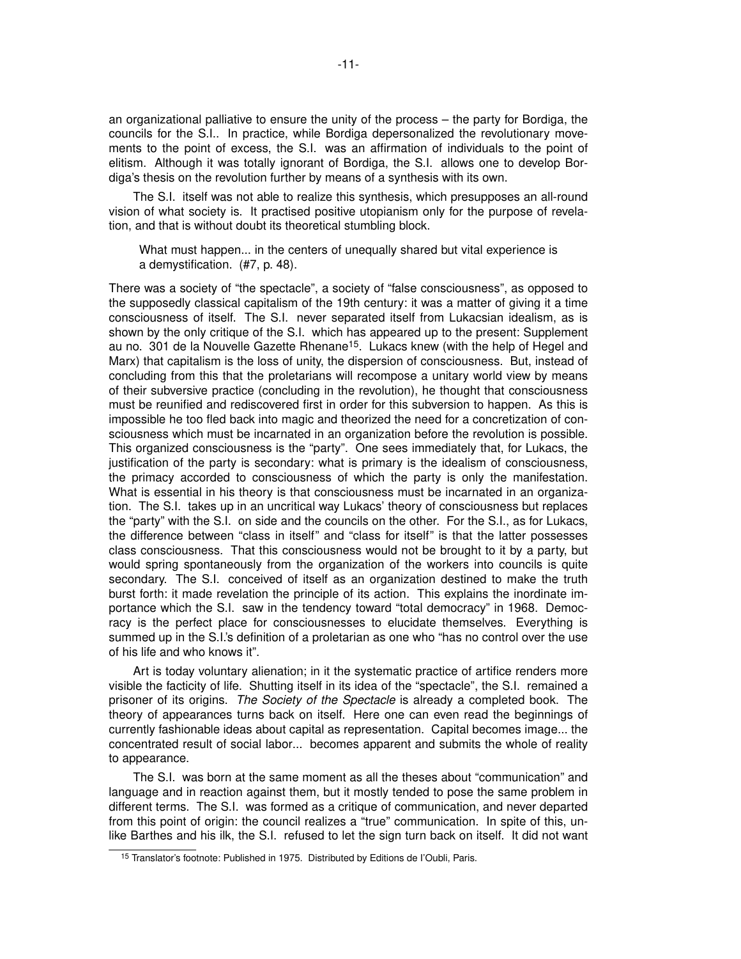an organizational palliative to ensure the unity of the process – the party for Bordiga, the councils for the S.I.. In practice, while Bordiga depersonalized the revolutionary movements to the point of excess, the S.I. was an affirmation of individuals to the point of elitism. Although it was totally ignorant of Bordiga, the S.I. allows one to develop Bordiga's thesis on the revolution further by means of a synthesis with its own.

The S.I. itself was not able to realize this synthesis, which presupposes an all-round vision of what society is. It practised positive utopianism only for the purpose of revelation, and that is without doubt its theoretical stumbling block.

What must happen... in the centers of unequally shared but vital experience is a demystification. (#7, p. 48).

There was a society of "the spectacle", a society of "false consciousness", as opposed to the supposedly classical capitalism of the 19th century: it was a matter of giving it a time consciousness of itself. The S.I. never separated itself from Lukacsian idealism, as is shown by the only critique of the S.I. which has appeared up to the present: Supplement au no. 301 de la Nouvelle Gazette Rhenane<sup>15</sup>. Lukacs knew (with the help of Hegel and Marx) that capitalism is the loss of unity, the dispersion of consciousness. But, instead of concluding from this that the proletarians will recompose a unitary world view by means of their subversive practice (concluding in the revolution), he thought that consciousness must be reunified and rediscovered first in order for this subversion to happen. As this is impossible he too fled back into magic and theorized the need for a concretization of consciousness which must be incarnated in an organization before the revolution is possible. This organized consciousness is the "party". One sees immediately that, for Lukacs, the justification of the party is secondary: what is primary is the idealism of consciousness, the primacy accorded to consciousness of which the party is only the manifestation. What is essential in his theory is that consciousness must be incarnated in an organization. The S.I. takes up in an uncritical way Lukacs' theory of consciousness but replaces the "party" with the S.I. on side and the councils on the other. For the S.I., as for Lukacs, the difference between "class in itself" and "class for itself" is that the latter possesses class consciousness. That this consciousness would not be brought to it by a party, but would spring spontaneously from the organization of the workers into councils is quite secondary. The S.I. conceived of itself as an organization destined to make the truth burst forth: it made revelation the principle of its action. This explains the inordinate importance which the S.I. saw in the tendency toward "total democracy" in 1968. Democracy is the perfect place for consciousnesses to elucidate themselves. Everything is summed up in the S.I.'s definition of a proletarian as one who "has no control over the use of his life and who knows it".

Art is today voluntary alienation; in it the systematic practice of artifice renders more visible the facticity of life. Shutting itself in its idea of the "spectacle", the S.I. remained a prisoner of its origins. The Society of the Spectacle is already a completed book. The theory of appearances turns back on itself. Here one can even read the beginnings of currently fashionable ideas about capital as representation. Capital becomes image... the concentrated result of social labor... becomes apparent and submits the whole of reality to appearance.

The S.I. was born at the same moment as all the theses about "communication" and language and in reaction against them, but it mostly tended to pose the same problem in different terms. The S.I. was formed as a critique of communication, and never departed from this point of origin: the council realizes a "true" communication. In spite of this, unlike Barthes and his ilk, the S.I. refused to let the sign turn back on itself. It did not want

<sup>&</sup>lt;sup>15</sup> Translator's footnote: Published in 1975. Distributed by Editions de l'Oubli, Paris.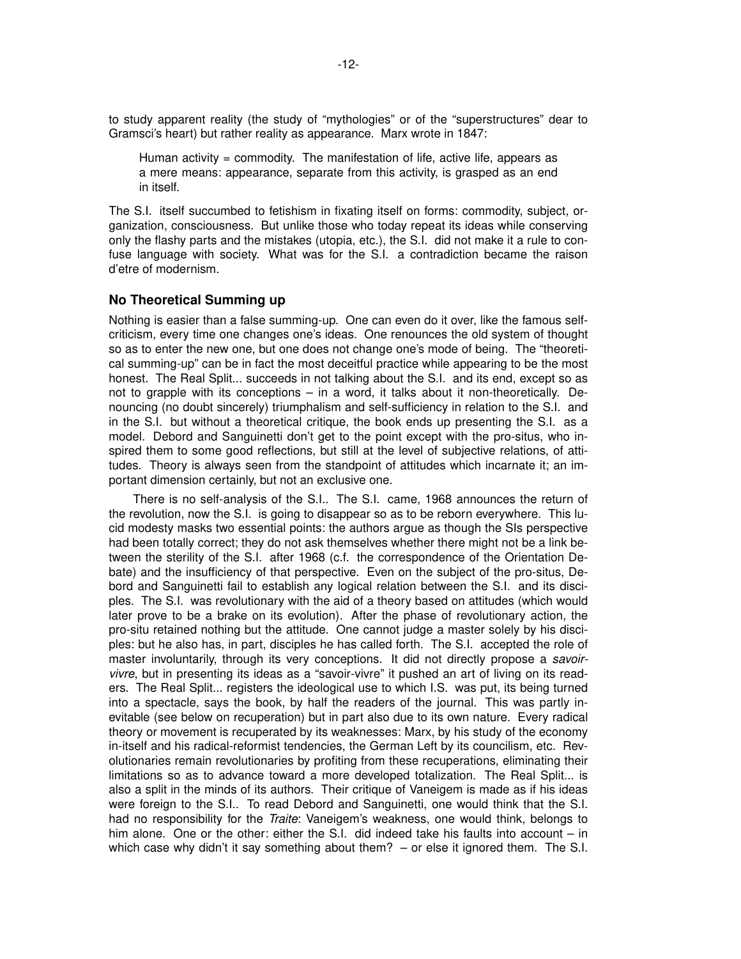to study apparent reality (the study of "mythologies" or of the "superstructures" dear to Gramsci's heart) but rather reality as appearance. Marx wrote in 1847:

Human activity = commodity. The manifestation of life, active life, appears as a mere means: appearance, separate from this activity, is grasped as an end in itself.

The S.I. itself succumbed to fetishism in fixating itself on forms: commodity, subject, organization, consciousness. But unlike those who today repeat its ideas while conserving only the flashy parts and the mistakes (utopia, etc.), the S.I. did not make it a rule to confuse language with society. What was for the S.I. a contradiction became the raison d'etre of modernism.

### **No Theoretical Summing up**

Nothing is easier than a false summing-up. One can even do it over, like the famous selfcriticism, every time one changes one's ideas. One renounces the old system of thought so as to enter the new one, but one does not change one's mode of being. The "theoretical summing-up" can be in fact the most deceitful practice while appearing to be the most honest. The Real Split... succeeds in not talking about the S.I. and its end, except so as not to grapple with its conceptions – in a word, it talks about it non-theoretically. Denouncing (no doubt sincerely) triumphalism and self-sufficiency in relation to the S.I. and in the S.I. but without a theoretical critique, the book ends up presenting the S.I. as a model. Debord and Sanguinetti don't get to the point except with the pro-situs, who inspired them to some good reflections, but still at the level of subjective relations, of attitudes. Theory is always seen from the standpoint of attitudes which incarnate it; an important dimension certainly, but not an exclusive one.

There is no self-analysis of the S.I.. The S.I. came, 1968 announces the return of the revolution, now the S.I. is going to disappear so as to be reborn everywhere. This lucid modesty masks two essential points: the authors argue as though the SIs perspective had been totally correct; they do not ask themselves whether there might not be a link between the sterility of the S.I. after 1968 (c.f. the correspondence of the Orientation Debate) and the insufficiency of that perspective. Even on the subject of the pro-situs, Debord and Sanguinetti fail to establish any logical relation between the S.I. and its disciples. The S.I. was revolutionary with the aid of a theory based on attitudes (which would later prove to be a brake on its evolution). After the phase of revolutionary action, the pro-situ retained nothing but the attitude. One cannot judge a master solely by his disciples: but he also has, in part, disciples he has called forth. The S.I. accepted the role of master involuntarily, through its very conceptions. It did not directly propose a savoirvivre, but in presenting its ideas as a "savoir-vivre" it pushed an art of living on its readers. The Real Split... registers the ideological use to which I.S. was put, its being turned into a spectacle, says the book, by half the readers of the journal. This was partly inevitable (see below on recuperation) but in part also due to its own nature. Every radical theory or movement is recuperated by its weaknesses: Marx, by his study of the economy in-itself and his radical-reformist tendencies, the German Left by its councilism, etc. Revolutionaries remain revolutionaries by profiting from these recuperations, eliminating their limitations so as to advance toward a more developed totalization. The Real Split... is also a split in the minds of its authors. Their critique of Vaneigem is made as if his ideas were foreign to the S.I.. To read Debord and Sanguinetti, one would think that the S.I. had no responsibility for the Traite: Vaneigem's weakness, one would think, belongs to him alone. One or the other: either the S.I. did indeed take his faults into account – in which case why didn't it say something about them? – or else it ignored them. The S.I.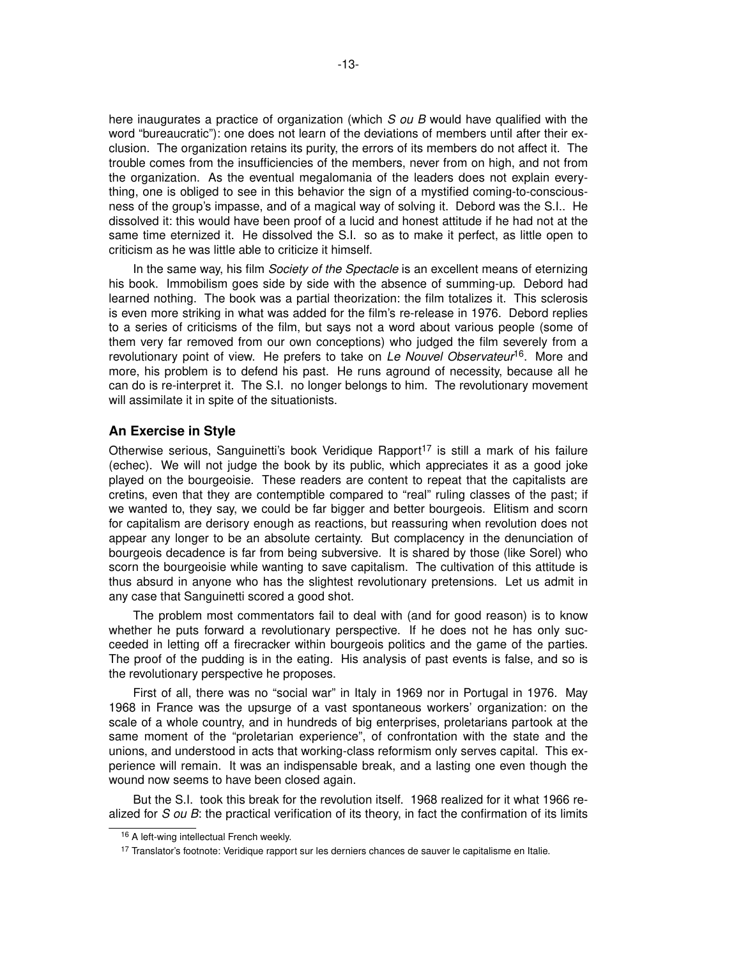here inaugurates a practice of organization (which S ou B would have qualified with the word "bureaucratic"): one does not learn of the deviations of members until after their exclusion. The organization retains its purity, the errors of its members do not affect it. The trouble comes from the insufficiencies of the members, never from on high, and not from the organization. As the eventual megalomania of the leaders does not explain everything, one is obliged to see in this behavior the sign of a mystified coming-to-consciousness of the group's impasse, and of a magical way of solving it. Debord was the S.I.. He dissolved it: this would have been proof of a lucid and honest attitude if he had not at the same time eternized it. He dissolved the S.I. so as to make it perfect, as little open to criticism as he was little able to criticize it himself.

In the same way, his film Society of the Spectacle is an excellent means of eternizing his book. Immobilism goes side by side with the absence of summing-up. Debord had learned nothing. The book was a partial theorization: the film totalizes it. This sclerosis is even more striking in what was added for the film's re-release in 1976. Debord replies to a series of criticisms of the film, but says not a word about various people (some of them verv far removed from our own conceptions) who judged the film severely from a revolutionary point of view. He prefers to take on Le Nouvel Observateur<sup>16</sup>. More and more, his problem is to defend his past. He runs aground of necessity, because all he can do is re-interpret it. The S.I. no longer belongs to him. The revolutionary movement will assimilate it in spite of the situationists.

### **An Exercise in Style**

Otherwise serious, Sanguinetti's book Veridique Rapport<sup>17</sup> is still a mark of his failure (echec). We will not judge the book by its public, which appreciates it as a good joke played on the bourgeoisie. These readers are content to repeat that the capitalists are cretins, even that they are contemptible compared to "real" ruling classes of the past; if we wanted to, they say, we could be far bigger and better bourgeois. Elitism and scorn for capitalism are derisory enough as reactions, but reassuring when revolution does not appear any longer to be an absolute certainty. But complacency in the denunciation of bourgeois decadence is far from being subversive. It is shared by those (like Sorel) who scorn the bourgeoisie while wanting to save capitalism. The cultivation of this attitude is thus absurd in anyone who has the slightest revolutionary pretensions. Let us admit in any case that Sanguinetti scored a good shot.

The problem most commentators fail to deal with (and for good reason) is to know whether he puts forward a revolutionary perspective. If he does not he has only succeeded in letting off a firecracker within bourgeois politics and the game of the parties. The proof of the pudding is in the eating. His analysis of past events is false, and so is the revolutionary perspective he proposes.

First of all, there was no "social war" in Italy in 1969 nor in Portugal in 1976. May 1968 in France was the upsurge of a vast spontaneous workers' organization: on the scale of a whole country, and in hundreds of big enterprises, proletarians partook at the same moment of the "proletarian experience", of confrontation with the state and the unions, and understood in acts that working-class reformism only serves capital. This experience will remain. It was an indispensable break, and a lasting one even though the wound now seems to have been closed again.

But the S.I. took this break for the revolution itself. 1968 realized for it what 1966 realized for  $S$  ou  $B$ : the practical verification of its theory, in fact the confirmation of its limits

<sup>16</sup> A left-wing intellectual French weekly.

<sup>17</sup> Translator's footnote: Veridique rapport sur les derniers chances de sauver le capitalisme en Italie.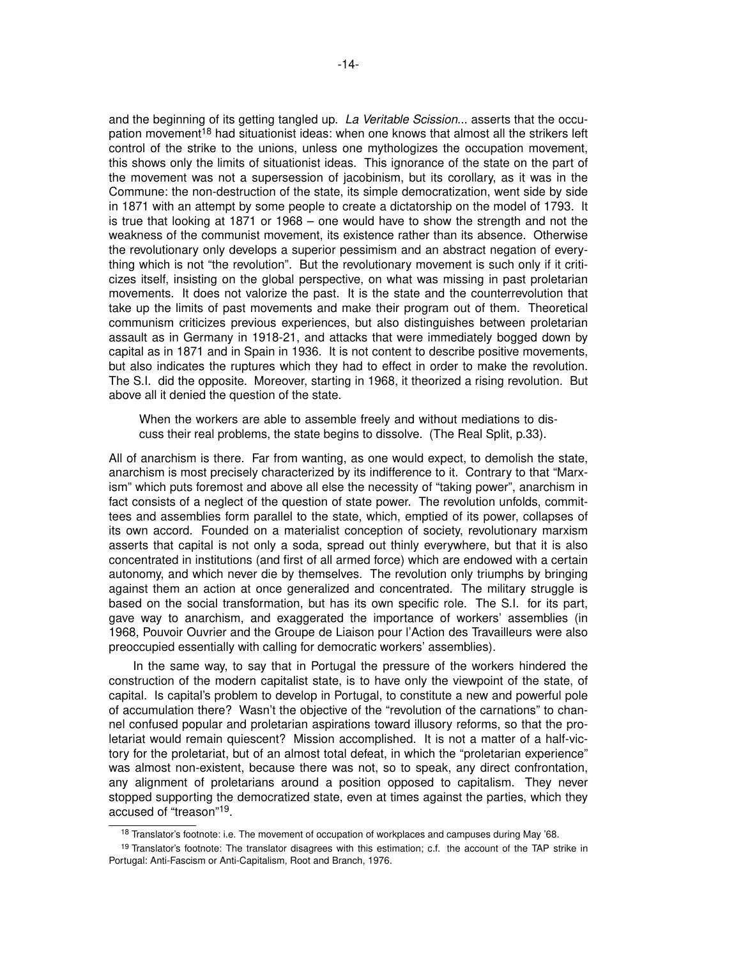and the beginning of its getting tangled up. La Veritable Scission... asserts that the occupation movement<sup>18</sup> had situationist ideas: when one knows that almost all the strikers left control of the strike to the unions, unless one mythologizes the occupation movement, this shows only the limits of situationist ideas. This ignorance of the state on the part of the movement was not a supersession of jacobinism, but its corollary, as it was in the Commune: the non-destruction of the state, its simple democratization, went side by side in 1871 with an attempt by some people to create a dictatorship on the model of 1793. It is true that looking at 1871 or 1968 – one would have to show the strength and not the weakness of the communist movement, its existence rather than its absence. Otherwise the revolutionary only develops a superior pessimism and an abstract negation of everything which is not "the revolution". But the revolutionary movement is such only if it criticizes itself, insisting on the global perspective, on what was missing in past proletarian movements. It does not valorize the past. It is the state and the counterrevolution that take up the limits of past movements and make their program out of them. Theoretical communism criticizes previous experiences, but also distinguishes between proletarian assault as in Germany in 1918-21, and attacks that were immediately bogged down by capital as in 1871 and in Spain in 1936. It is not content to describe positive movements, but also indicates the ruptures which they had to effect in order to make the revolution. The S.I. did the opposite. Moreover, starting in 1968, it theorized a rising revolution. But above all it denied the question of the state.

When the workers are able to assemble freely and without mediations to discuss their real problems, the state begins to dissolve. (The Real Split, p.33).

All of anarchism is there. Far from wanting, as one would expect, to demolish the state, anarchism is most precisely characterized by its indifference to it. Contrary to that "Marxism" which puts foremost and above all else the necessity of "taking power", anarchism in fact consists of a neglect of the question of state power. The revolution unfolds, committees and assemblies form parallel to the state, which, emptied of its power, collapses of its own accord. Founded on a materialist conception of society, revolutionary marxism asserts that capital is not only a soda, spread out thinly everywhere, but that it is also concentrated in institutions (and first of all armed force) which are endowed with a certain autonomy, and which never die by themselves. The revolution only triumphs by bringing against them an action at once generalized and concentrated. The military struggle is based on the social transformation, but has its own specific role. The S.I. for its part, gave way to anarchism, and exaggerated the importance of workers' assemblies (in 1968, Pouvoir Ouvrier and the Groupe de Liaison pour l'Action des Travailleurs were also preoccupied essentially with calling for democratic workers' assemblies).

In the same way, to say that in Portugal the pressure of the workers hindered the construction of the modern capitalist state, is to have only the viewpoint of the state, of capital. Is capital's problem to develop in Portugal, to constitute a new and powerful pole of accumulation there? Wasn't the objective of the "revolution of the carnations" to channel confused popular and proletarian aspirations toward illusory refor ms, so that the proletariat would remain quiescent? Mission accomplished. It is not a matter of a half-victory for the proletariat, but of an almost total defeat, in which the "proletarian experience" was almost non-existent, because there was not, so to speak, any direct confrontation, any alignment of proletarians around a position opposed to capitalism. They never stopped supporting the democratized state, even at times against the parties, which they accused of "treason"19.

<sup>&</sup>lt;sup>18</sup> Translator's footnote: i.e. The movement of occupation of workplaces and campuses during May '68.

 $19$  Translator's footnote: The translator disagrees with this estimation; c.f. the account of the TAP strike in Portugal: Anti-Fascism or Anti-Capitalism, Root and Branch, 1976.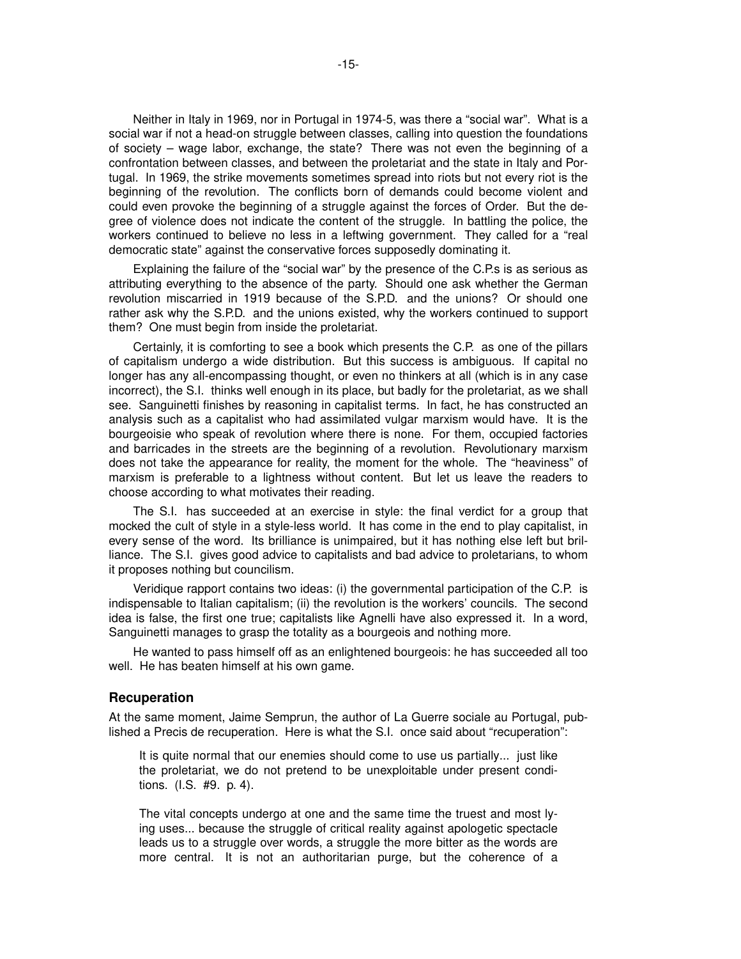Neither in Italy in 1969, nor in Portugal in 1974-5, was there a "social war". What is a social war if not a head-on struggle between classes, calling into question the foundations of society – wage labor, exchange, the state? There was not even the beginning of a confrontation between classes, and between the proletariat and the state in Italy and Portugal. In 1969, the strike movements sometimes spread into riots but not every riot is the beginning of the revolution. The conflicts born of demands could become violent and could even provoke the beginning of a struggle against the forces of Order. But the degree of violence does not indicate the content of the struggle. In battling the police, the workers continued to believe no less in a leftwing government. They called for a "real democratic state" against the conservative forces supposedly dominating it.

Explaining the failure of the "social war" by the presence of the C.P.s is as serious as attributing everything to the absence of the party. Should one ask whether the German revolution miscarried in 1919 because of the S.P.D. and the unions? Or should one rather ask why the S.P.D. and the unions existed, why the workers continued to support them? One must begin from inside the proletariat.

Certainly, it is comforting to see a book which presents the C.P. as one of the pillars of capitalism undergo a wide distribution. But this success is ambiguous. If capital no longer has any all-encompassing thought, or even no thinkers at all (which is in any case incorrect), the S.I. thinks well enough in its place, but badly for the proletariat, as we shall see. Sanguinetti finishes by reasoning in capitalist terms. In fact, he has constructed an analysis such as a capitalist who had assimilated vulgar marxism would have. It is the bourgeoisie who speak of revolution where there is none. For them, occupied factories and barricades in the streets are the beginning of a revolution. Revolutionary marxism does not take the appearance for reality, the moment for the whole. The "heaviness" of marxism is preferable to a lightness without content. But let us leave the readers to choose according to what motivates their reading.

The S.I. has succeeded at an exercise in style: the final verdict for a group that mocked the cult of style in a style-less world. It has come in the end to play capitalist, in every sense of the word. Its brilliance is unimpaired, but it has nothing else left but brilliance. The S.I. gives good advice to capitalists and bad advice to proletarians, to whom it proposes nothing but councilism.

Veridique rapport contains two ideas: (i) the governmental participation of the C.P. is indispensable to Italian capitalism; (ii) the revolution is the workers' councils. The second idea is false, the first one true; capitalists like Agnelli have also expressed it. In a word, Sanguinetti manages to grasp the totality as a bourgeois and nothing more.

He wanted to pass himself off as an enlightened bourgeois: he has succeeded all too well. He has beaten himself at his own game.

#### **Recuperation**

At the same moment, Jaime Semprun, the author of La Guerre sociale au Portugal, published a Precis de recuperation. Here is what the S.I. once said about "recuperation":

It is quite normal that our enemies should come to use us partially... just like the proletariat, we do not pretend to be unexploitable under present conditions. (I.S. #9. p. 4).

The vital concepts undergo at one and the same time the truest and most lying uses... because the struggle of critical reality against apologetic spectacle leads us to a struggle over words, a struggle the more bitter as the words are more central. It is not an authoritarian purge, but the coherence of a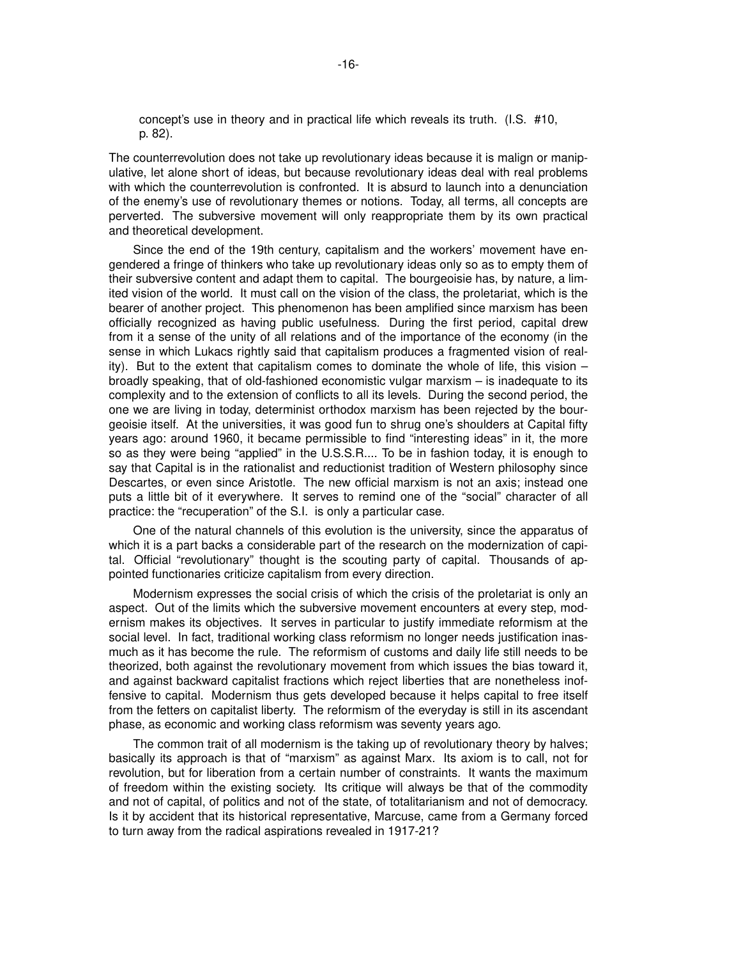concept's use in theory and in practical life which reveals its truth. (I.S. #10, p. 82).

The counterrevolution does not take up revolutionary ideas because it is malign or manipulative, let alone short of ideas, but because revolutionary ideas deal with real problems with which the counterrevolution is confronted. It is absurd to launch into a denunciation of the enemy's use of revolutionary themes or notions. Today, all terms, all concepts are perverted. The subversive movement will only reappropriate them by its own practical and theoretical development.

Since the end of the 19th century, capitalism and the workers' movement have engendered a fringe of thinkers who take up revolutionary ideas only so as to empty them of their subversive content and adapt them to capital. The bourgeoisie has, by nature, a limited vision of the world. It must call on the vision of the class, the proletariat, which is the bearer of another project. This phenomenon has been amplified since marxism has been officially recognized as having public usefulness. During the first period, capital drew from it a sense of the unity of all relations and of the importance of the economy (in the sense in which Lukacs rightly said that capitalism produces a fragmented vision of reality). But to the extent that capitalism comes to dominate the whole of life, this vision – broadly speaking, that of old-fashioned economistic vulgar marxism – is inadequate to its complexity and to the extension of conflicts to all its levels. During the second period, the one we are living in today, determinist orthodox marxism has been rejected by the bourgeoisie itself. At the universities, it was good fun to shrug one's shoulders at Capital fifty years ago: around 1960, it became permissible to find "interesting ideas" in it, the more so as they were being "applied" in the U.S.S.R.... To be in fashion today, it is enough to say that Capital is in the rationalist and reductionist tradition of Western philosophy since Descartes, or even since Aristotle. The new official marxism is not an axis; instead one puts a little bit of it everywhere. It serves to remind one of the "social" character of all practice: the "recuperation" of the S.I. is only a particular case.

One of the natural channels of this evolution is the university, since the apparatus of which it is a part backs a considerable part of the research on the modernization of capital. Official "revolutionary" thought is the scouting party of capital. Thousands of appointed functionaries criticize capitalism from every direction.

Modernism expresses the social crisis of which the crisis of the proletariat is only an aspect. Out of the limits which the subversive movement encounters at every step, modernism makes its objectives. It serves in particular to justify immediate reformism at the social level. In fact, traditional working class reformism no longer needs justification inasmuch as it has become the rule. The reformism of customs and daily life still needs to be theorized, both against the revolutionary movement from which issues the bias toward it, and against backward capitalist fractions which reject liberties that are nonetheless inoffensive to capital. Modernism thus gets developed because it helps capital to free itself from the fetters on capitalist liberty. The reformism of the everyday is still in its ascendant phase, as economic and working class reformism was seventy years ago.

The common trait of all modernism is the taking up of revolutionary theory by halves; basically its approach is that of "marxism" as against Marx. Its axiom is to call, not for revolution, but for liberation from a certain number of constraints. It wants the maximum of freedom within the existing society. Its critique will always be that of the commodity and not of capital, of politics and not of the state, of totalitarianism and not of democracy. Is it by accident that its historical representative, Marcuse, came from a Germany forced to turn away from the radical aspirations revealed in 1917-21?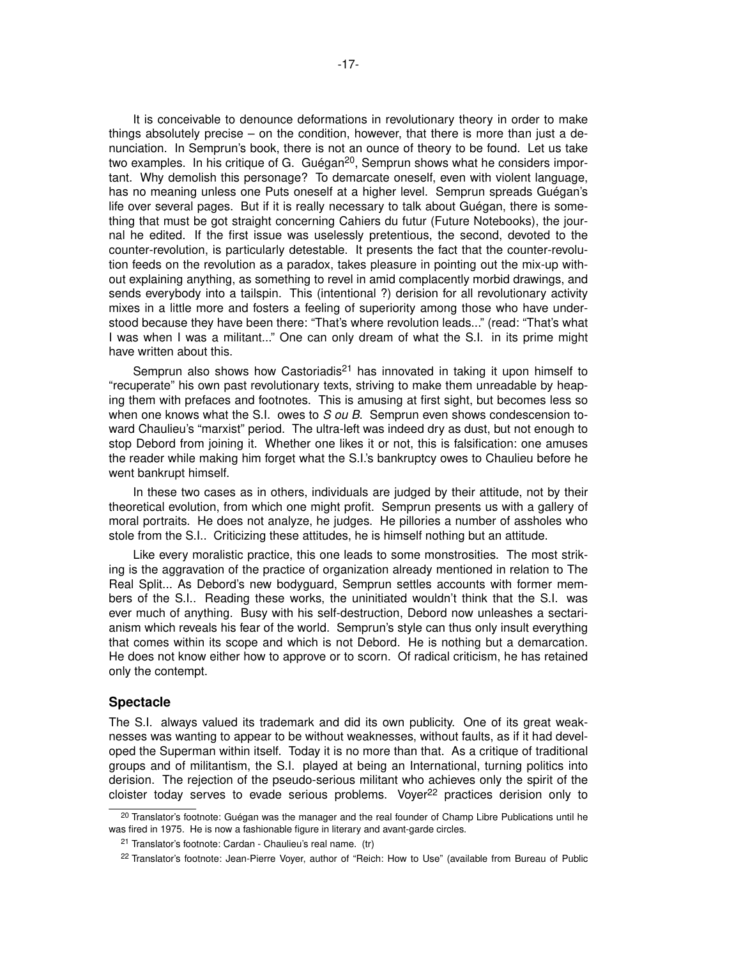It is conceivable to denounce deformations in revolutionary theory in order to make things absolutely precise – on the condition, however, that there is more than just a denunciation. In Semprun's book, there is not an ounce of theory to be found. Let us take two examples. In his critique of G. Guégan<sup>20</sup>, Semprun shows what he considers important. Why demolish this personage? To demarcate oneself, even with violent language, has no meaning unless one Puts oneself at a higher level. Semprun spreads Guégan's life over several pages. But if it is really necessary to talk about Guégan, there is something that must be got straight concerning Cahiers du futur (Future Notebooks), the journal he edited. If the first issue was uselessly pretentious, the second, devoted to the counter-revolution, is particularly detestable. It presents the fact that the counter-revolution feeds on the revolution as a paradox, takes pleasure in pointing out the mix-up without explaining anything, as something to revel in amid complacently morbid drawings, and sends everybody into a tailspin. This (intentional ?) derision for all revolutionary activity mixes in a little more and fosters a feeling of superiority among those who have understood because they have been there: "That's where revolution leads..." (read: "That's what I was when I was a militant..." One can only dream of what the S.I. in its prime might have written about this.

Semprun also shows how Castoriadis<sup>21</sup> has innovated in taking it upon himself to "recuperate" his own past revolutionary texts, striving to make them unreadable by heaping them with prefaces and footnotes. This is amusing at first sight, but becomes less so when one knows what the S.I. owes to  $S$  ou B. Semprun even shows condescension toward Chaulieu's "marxist" period. The ultra-left was indeed dry as dust, but not enough to stop Debord from joining it. Whether one likes it or not, this is falsification: one amuses the reader while making him forget what the S.I.'s bankruptcy owes to Chaulieu before he went bankrupt himself.

In these two cases as in others, individuals are judged by their attitude, not by their theoretical evolution, from which one might profit. Semprun presents us with a gallery of moral portraits. He does not analyze, he judges. He pillories a number of assholes who stole from the S.I.. Criticizing these attitudes, he is himself nothing but an attitude.

Like every moralistic practice, this one leads to some monstrosities. The most striking is the aggravation of the practice of organization already mentioned in relation to The Real Split... As Debord's new bodyguard, Semprun settles accounts with former members of the S.I.. Reading these works, the uninitiated wouldn't think that the S.I. was ever much of anything. Busy with his self-destruction, Debord now unleashes a sectarianism which reveals his fear of the world. Semprun's style can thus only insult everything that comes within its scope and which is not Debord. He is nothing but a demarcation. He does not know either how to approve or to scorn. Of radical criticism, he has retained only the contempt.

#### **Spectacle**

The S.I. always valued its trademark and did its own publicity. One of its great weaknesses was wanting to appear to be without weaknesses, without faults, as if it had developed the Superman within itself. Today it is no more than that. As a critique of traditional groups and of militantism, the S.I. played at being an International, turning politics into derision. The rejection of the pseudo-serious militant who achieves only the spirit of the cloister today serves to evade serious problems. Voyer<sup>22</sup> practices derision only to

 $20$  Translator's footnote: Guégan was the manager and the real founder of Champ Libre Publications until he was fired in 1975. He is now a fashionable figure in literary and avant-garde circles.

<sup>&</sup>lt;sup>21</sup> Translator's footnote: Cardan - Chaulieu's real name. (tr)

<sup>&</sup>lt;sup>22</sup> Translator's footnote: Jean-Pierre Voyer, author of "Reich: How to Use" (available from Bureau of Public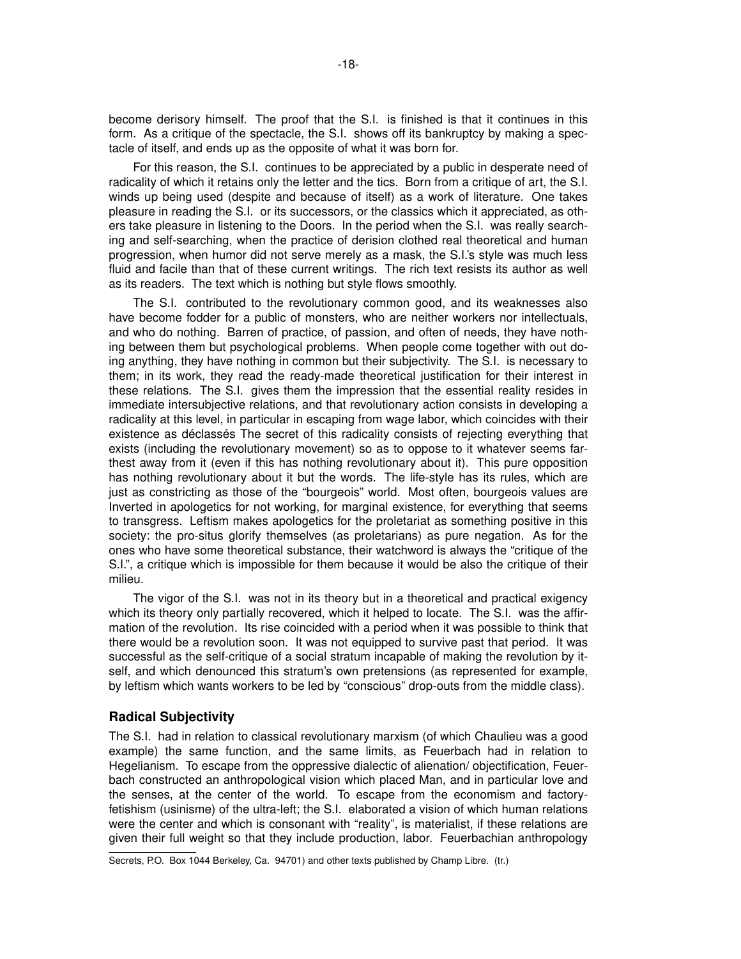become derisory himself. The proof that the S.I. is finished is that it continues in this form. As a critique of the spectacle, the S.I. shows off its bankruptcy by making a spectacle of itself, and ends up as the opposite of what it was born for.

For this reason, the S.I. continues to be appreciated by a public in desperate need of radicality of which it retains only the letter and the tics. Born from a critique of art, the S.I. winds up being used (despite and because of itself) as a work of literature. One takes pleasure in reading the S.I. or its successors, or the classics which it appreciated, as others take pleasure in listening to the Doors. In the period when the S.I. was really searching and self-searching, when the practice of derision clothed real theoretical and human progression, when humor did not serve merely as a mask, the S.I.'s style was much less fluid and facile than that of these current writings. The rich text resists its author as well as its readers. The text which is nothing but style flows smoothly.

The S.I. contributed to the revolutionary common good, and its weaknesses also have become fodder for a public of monsters, who are neither workers nor intellectuals, and who do nothing. Barren of practice, of passion, and often of needs, they have nothing between them but psychological problems. When people come together with out doing anything, they have nothing in common but their subjectivity. The S.I. is necessary to them; in its work, they read the ready-made theoretical justification for their interest in these relations. The S.I. gives them the impression that the essential reality resides in immediate intersubjective relations, and that revolutionary action consists in developing a radicality at this level, in particular in escaping from wage labor, which coincides with their existence as déclassés The secret of this radicality consists of rejecting everything that exists (including the revolutionary movement) so as to oppose to it whatever seems farthest away from it (even if this has nothing revolutionary about it). This pure opposition has nothing revolutionary about it but the words. The life-style has its rules, which are just as constricting as those of the "bourgeois" world. Most often, bourgeois values are Inverted in apologetics for not working, for marginal existence, for everything that seems to transgress. Leftism makes apologetics for the proletariat as something positive in this society: the pro-situs glorify themselves (as proletarians) as pure negation. As for the ones who have some theoretical substance, their watchword is always the "critique of the S.I.", a critique which is impossible for them because it would be also the critique of their milieu.

The vigor of the S.I. was not in its theory but in a theoretical and practical exigency which its theory only partially recovered, which it helped to locate. The S.I. was the affirmation of the revolution. Its rise coincided with a period when it was possible to think that there would be a revolution soon. It was not equipped to survive past that period. It was successful as the self-critique of a social stratum incapable of making the revolution by itself, and which denounced this stratum's own pretensions (as represented for example, by leftism which wants workers to be led by "conscious" drop-outs from the middle class).

## **Radical Subjectivity**

The S.I. had in relation to classical revolutionary marxism (of which Chaulieu was a good example) the same function, and the same limits, as Feuerbach had in relation to Hegelianism. To escape from the oppressive dialectic of alienation/ objectification, Feuerbach constructed an anthropological vision which placed Man, and in particular love and the senses, at the center of the world. To escape from the economism and factoryfetishism (usinisme) of the ultra-left; the S.I. elaborated a vision of which human relations were the center and which is consonant with "reality", is materialist, if these relations are given their full weight so that they include production, labor. Feuerbachian anthropology

Secrets, P.O. Box 1044 Berkeley, Ca. 94701) and other texts published by Champ Libre. (tr.)